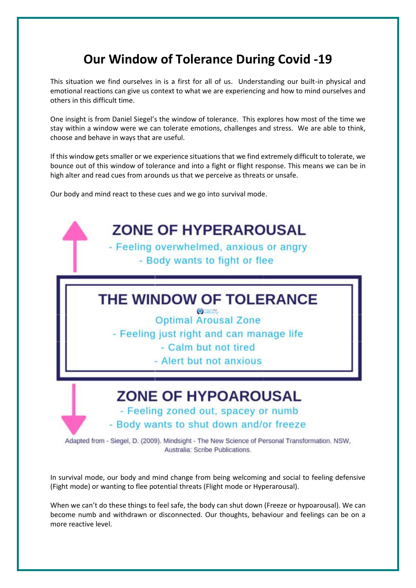## **Our Window of Tolerance During Covid -19**

This situation we find ourselves in is a first for all of us. Understanding our built-in physical and emotional reactions can give us context to what we are experiencing and how to mind ourselves and others in this difficult time.

One insight is from Daniel Siegel's the window of tolerance. This explores how most of the time we stay within a window were we can tolerate emotions, challenges and stress. We are able to think, choose and behave in ways that are useful.

If this window gets smaller or we experience situations that we find extremely difficult to tolerate, we bounce out of this window of tolerance and into a fight or flight response. This means we can be in high alter and read cues from arounds us that we perceive as threats or unsafe.

Our body and mind react to these cues and we go into survival mode.



In survival mode, our body and mind change from being welcoming and social to feeling defensive (Fight mode) or wanting to flee potential threats (Flight mode or Hyperarousal).

When we can't do these things to feel safe, the body can shut down (Freeze or hypoarousal). We can become numb and withdrawn or disconnected. Our thoughts, behaviour and feelings can be on a more reactive level.